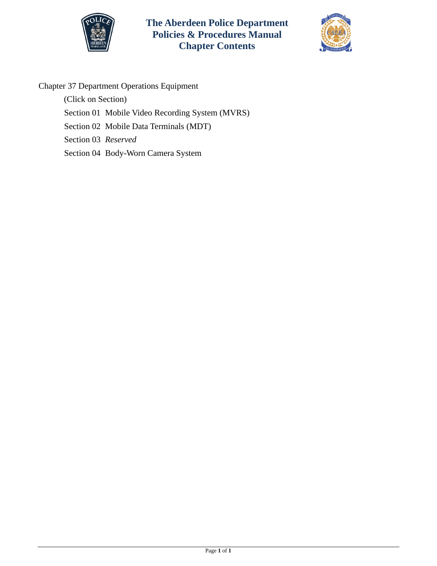



# Chapter 37 Department Operations Equipment

(Click on Section)

- [Section 01 Mobile Video Recording System \(MVRS\)](#page-1-0)
- [Section 02 Mobile Data Terminals](#page-7-0) (MDT)

Section 03 *Reserved*

[Section 04 Body-Worn Camera System](#page-8-0)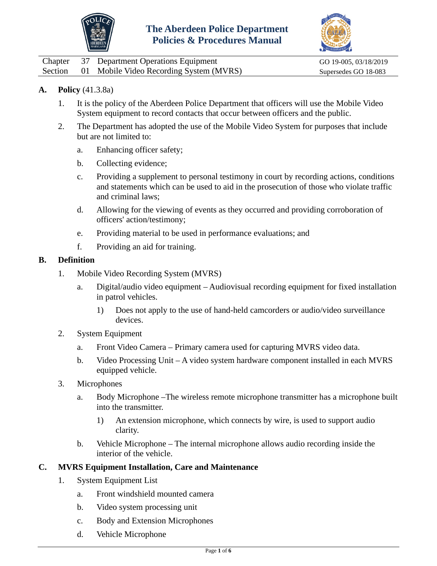



<span id="page-1-0"></span>

|  | Chapter 37 Department Operations Equipment      | GO 19-005, 03/18/2019 |
|--|-------------------------------------------------|-----------------------|
|  | Section 01 Mobile Video Recording System (MVRS) | Supersedes GO 18-083  |

## **A. Policy** (41.3.8a)

- 1. It is the policy of the Aberdeen Police Department that officers will use the Mobile Video System equipment to record contacts that occur between officers and the public.
- 2. The Department has adopted the use of the Mobile Video System for purposes that include but are not limited to:
	- a. Enhancing officer safety;
	- b. Collecting evidence;
	- c. Providing a supplement to personal testimony in court by recording actions, conditions and statements which can be used to aid in the prosecution of those who violate traffic and criminal laws;
	- d. Allowing for the viewing of events as they occurred and providing corroboration of officers' action/testimony;
	- e. Providing material to be used in performance evaluations; and
	- f. Providing an aid for training.

#### **B. Definition**

- 1. Mobile Video Recording System (MVRS)
	- a. Digital/audio video equipment Audiovisual recording equipment for fixed installation in patrol vehicles.
		- 1) Does not apply to the use of hand-held camcorders or audio/video surveillance devices.
- 2. System Equipment
	- a. Front Video Camera Primary camera used for capturing MVRS video data.
	- b. Video Processing Unit A video system hardware component installed in each MVRS equipped vehicle.
- 3. Microphones
	- a. Body Microphone –The wireless remote microphone transmitter has a microphone built into the transmitter.
		- 1) An extension microphone, which connects by wire, is used to support audio clarity.
	- b. Vehicle Microphone The internal microphone allows audio recording inside the interior of the vehicle.

### **C. MVRS Equipment Installation, Care and Maintenance**

- 1. System Equipment List
	- a. Front windshield mounted camera
	- b. Video system processing unit
	- c. Body and Extension Microphones
	- d. Vehicle Microphone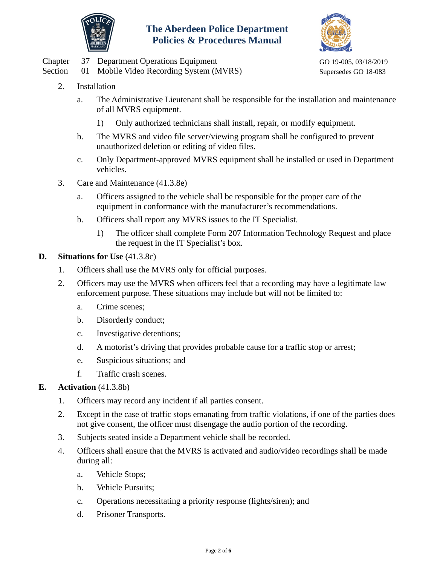



|  | Chapter 37 Department Operations Equipment      | GO 19-005, 03/18/2019 |
|--|-------------------------------------------------|-----------------------|
|  | Section 01 Mobile Video Recording System (MVRS) | Supersedes GO 18-083  |

- 2. Installation
	- a. The Administrative Lieutenant shall be responsible for the installation and maintenance of all MVRS equipment.
		- 1) Only authorized technicians shall install, repair, or modify equipment.
	- b. The MVRS and video file server/viewing program shall be configured to prevent unauthorized deletion or editing of video files.
	- c. Only Department-approved MVRS equipment shall be installed or used in Department vehicles.
- 3. Care and Maintenance (41.3.8e)
	- a. Officers assigned to the vehicle shall be responsible for the proper care of the equipment in conformance with the manufacturer's recommendations.
	- b. Officers shall report any MVRS issues to the IT Specialist.
		- 1) The officer shall complete Form 207 Information Technology Request and place the request in the IT Specialist's box.

### **D. Situations for Use** (41.3.8c)

- 1. Officers shall use the MVRS only for official purposes.
- 2. Officers may use the MVRS when officers feel that a recording may have a legitimate law enforcement purpose. These situations may include but will not be limited to:
	- a. Crime scenes;
	- b. Disorderly conduct;
	- c. Investigative detentions;
	- d. A motorist's driving that provides probable cause for a traffic stop or arrest;
	- e. Suspicious situations; and
	- f. Traffic crash scenes.

### **E. Activation** (41.3.8b)

- 1. Officers may record any incident if all parties consent.
- 2. Except in the case of traffic stops emanating from traffic violations, if one of the parties does not give consent, the officer must disengage the audio portion of the recording.
- 3. Subjects seated inside a Department vehicle shall be recorded.
- 4. Officers shall ensure that the MVRS is activated and audio/video recordings shall be made during all:
	- a. Vehicle Stops;
	- b. Vehicle Pursuits;
	- c. Operations necessitating a priority response (lights/siren); and
	- d. Prisoner Transports.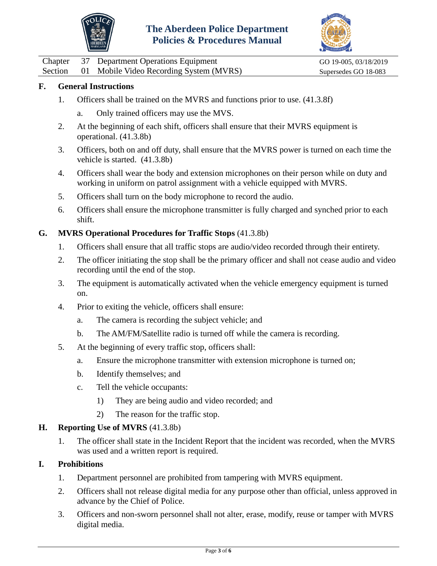



Chapter 37 Department Operations Equipment GO 19-005, 03/18/2019 Section 01 Mobile Video Recording System (MVRS) Supersedes GO 18-083

## **F. General Instructions**

- 1. Officers shall be trained on the MVRS and functions prior to use. (41.3.8f)
	- a. Only trained officers may use the MVS.
- 2. At the beginning of each shift, officers shall ensure that their MVRS equipment is operational. (41.3.8b)
- 3. Officers, both on and off duty, shall ensure that the MVRS power is turned on each time the vehicle is started. (41.3.8b)
- 4. Officers shall wear the body and extension microphones on their person while on duty and working in uniform on patrol assignment with a vehicle equipped with MVRS.
- 5. Officers shall turn on the body microphone to record the audio.
- 6. Officers shall ensure the microphone transmitter is fully charged and synched prior to each shift.

## **G. MVRS Operational Procedures for Traffic Stops** (41.3.8b)

- 1. Officers shall ensure that all traffic stops are audio/video recorded through their entirety.
- 2. The officer initiating the stop shall be the primary officer and shall not cease audio and video recording until the end of the stop.
- 3. The equipment is automatically activated when the vehicle emergency equipment is turned on.
- 4. Prior to exiting the vehicle, officers shall ensure:
	- a. The camera is recording the subject vehicle; and
	- b. The AM/FM/Satellite radio is turned off while the camera is recording.
- 5. At the beginning of every traffic stop, officers shall:
	- a. Ensure the microphone transmitter with extension microphone is turned on;
	- b. Identify themselves; and
	- c. Tell the vehicle occupants:
		- 1) They are being audio and video recorded; and
		- 2) The reason for the traffic stop.

### **H. Reporting Use of MVRS** (41.3.8b)

1. The officer shall state in the Incident Report that the incident was recorded, when the MVRS was used and a written report is required.

### **I. Prohibitions**

- 1. Department personnel are prohibited from tampering with MVRS equipment.
- 2. Officers shall not release digital media for any purpose other than official, unless approved in advance by the Chief of Police.
- 3. Officers and non-sworn personnel shall not alter, erase, modify, reuse or tamper with MVRS digital media.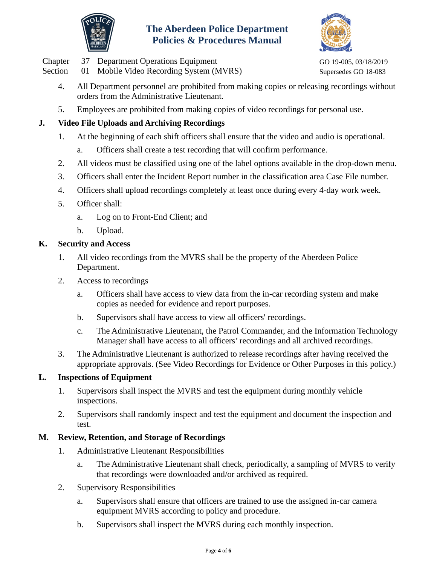



Chapter 37 Department Operations Equipment GO 19-005, 03/18/2019 Section 01 Mobile Video Recording System (MVRS) Supersedes GO 18-083

- 4. All Department personnel are prohibited from making copies or releasing recordings without orders from the Administrative Lieutenant.
- 5. Employees are prohibited from making copies of video recordings for personal use.

# **J. Video File Uploads and Archiving Recordings**

- 1. At the beginning of each shift officers shall ensure that the video and audio is operational.
	- a. Officers shall create a test recording that will confirm performance.
- 2. All videos must be classified using one of the label options available in the drop-down menu.
- 3. Officers shall enter the Incident Report number in the classification area Case File number.
- 4. Officers shall upload recordings completely at least once during every 4-day work week.
- 5. Officer shall:
	- a. Log on to Front-End Client; and
	- b. Upload.

### **K. Security and Access**

- 1. All video recordings from the MVRS shall be the property of the Aberdeen Police Department.
- 2. Access to recordings
	- a. Officers shall have access to view data from the in-car recording system and make copies as needed for evidence and report purposes.
	- b. Supervisors shall have access to view all officers' recordings.
	- c. The Administrative Lieutenant, the Patrol Commander, and the Information Technology Manager shall have access to all officers' recordings and all archived recordings.
- 3. The Administrative Lieutenant is authorized to release recordings after having received the appropriate approvals. (See Video Recordings for Evidence or Other Purposes in this policy.)

## **L. Inspections of Equipment**

- 1. Supervisors shall inspect the MVRS and test the equipment during monthly vehicle inspections.
- 2. Supervisors shall randomly inspect and test the equipment and document the inspection and test.

### **M. Review, Retention, and Storage of Recordings**

- 1. Administrative Lieutenant Responsibilities
	- a. The Administrative Lieutenant shall check, periodically, a sampling of MVRS to verify that recordings were downloaded and/or archived as required.
- 2. Supervisory Responsibilities
	- a. Supervisors shall ensure that officers are trained to use the assigned in-car camera equipment MVRS according to policy and procedure.
	- b. Supervisors shall inspect the MVRS during each monthly inspection.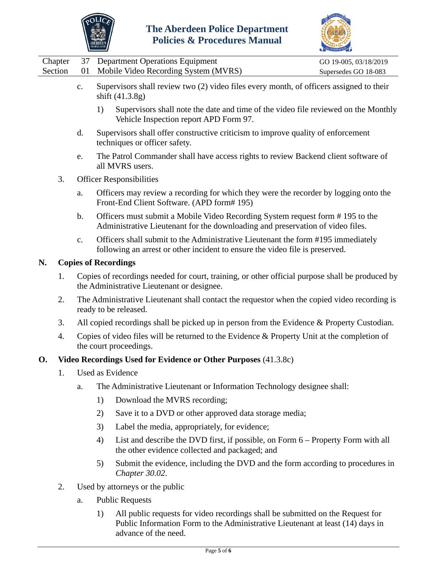



|  | Chapter 37 Department Operations Equipment      | GO 19-005, 03/18/2019 |
|--|-------------------------------------------------|-----------------------|
|  | Section 01 Mobile Video Recording System (MVRS) | Supersedes GO 18-083  |

- c. Supervisors shall review two (2) video files every month, of officers assigned to their shift (41.3.8g)
	- 1) Supervisors shall note the date and time of the video file reviewed on the Monthly Vehicle Inspection report APD Form 97.
- d. Supervisors shall offer constructive criticism to improve quality of enforcement techniques or officer safety.
- e. The Patrol Commander shall have access rights to review Backend client software of all MVRS users.
- 3. Officer Responsibilities
	- a. Officers may review a recording for which they were the recorder by logging onto the Front-End Client Software. (APD form# 195)
	- b. Officers must submit a Mobile Video Recording System request form # 195 to the Administrative Lieutenant for the downloading and preservation of video files.
	- c. Officers shall submit to the Administrative Lieutenant the form #195 immediately following an arrest or other incident to ensure the video file is preserved.

### **N. Copies of Recordings**

- 1. Copies of recordings needed for court, training, or other official purpose shall be produced by the Administrative Lieutenant or designee.
- 2. The Administrative Lieutenant shall contact the requestor when the copied video recording is ready to be released.
- 3. All copied recordings shall be picked up in person from the Evidence & Property Custodian.
- 4. Copies of video files will be returned to the Evidence & Property Unit at the completion of the court proceedings.

### **O. Video Recordings Used for Evidence or Other Purposes** (41.3.8c)

- 1. Used as Evidence
	- a. The Administrative Lieutenant or Information Technology designee shall:
		- 1) Download the MVRS recording;
		- 2) Save it to a DVD or other approved data storage media;
		- 3) Label the media, appropriately, for evidence;
		- 4) List and describe the DVD first, if possible, on Form 6 Property Form with all the other evidence collected and packaged; and
		- 5) Submit the evidence, including the DVD and the form according to procedures in *Chapter 30.02*.
- 2. Used by attorneys or the public
	- a. Public Requests
		- 1) All public requests for video recordings shall be submitted on the Request for Public Information Form to the Administrative Lieutenant at least (14) days in advance of the need.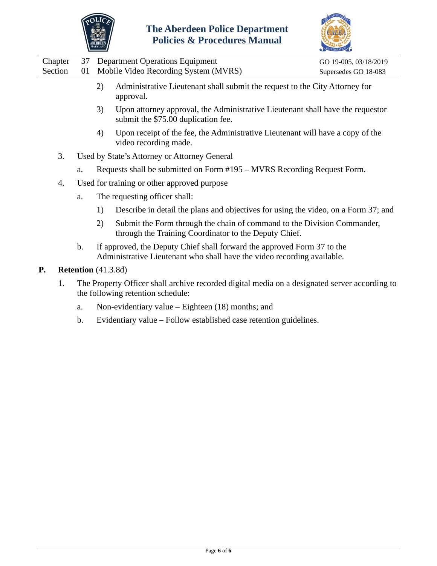



| Chapter |    | 37 Department Operations Equipment                                                                                                                                                      | GO 19-005, 03/18/2019 |
|---------|----|-----------------------------------------------------------------------------------------------------------------------------------------------------------------------------------------|-----------------------|
| Section | 01 | Mobile Video Recording System (MVRS)                                                                                                                                                    | Supersedes GO 18-083  |
|         |    | Administrative Lieutenant shall submit the request to the City Attorney for<br>2)<br>approval.<br>$\mu$ I lpon attorney approval the Administrative Lieutenant shall have the requestor |                       |

- 3) Upon attorney approval, the Administrative Lieutenant shall have the requestor submit the \$75.00 duplication fee.
- 4) Upon receipt of the fee, the Administrative Lieutenant will have a copy of the video recording made.
- 3. Used by State's Attorney or Attorney General
	- a. Requests shall be submitted on Form #195 MVRS Recording Request Form.
- 4. Used for training or other approved purpose
	- a. The requesting officer shall:
		- 1) Describe in detail the plans and objectives for using the video, on a Form 37; and
		- 2) Submit the Form through the chain of command to the Division Commander, through the Training Coordinator to the Deputy Chief.
	- b. If approved, the Deputy Chief shall forward the approved Form 37 to the Administrative Lieutenant who shall have the video recording available.
- **P. Retention** (41.3.8d)
	- 1. The Property Officer shall archive recorded digital media on a designated server according to the following retention schedule:
		- a. Non-evidentiary value Eighteen (18) months; and
		- b. Evidentiary value Follow established case retention guidelines.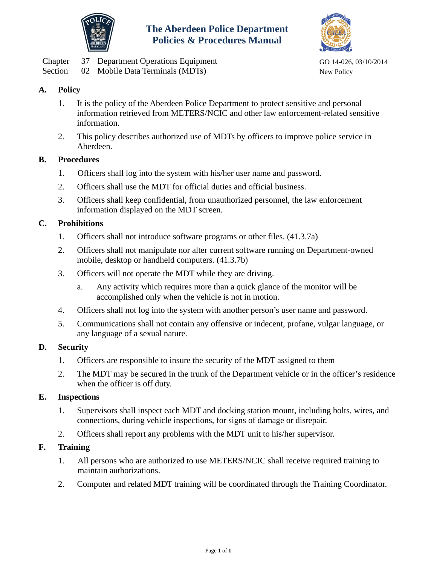



<span id="page-7-0"></span>

|  | Chapter 37 Department Operations Equipment | GO 14-026, 03/10/2014 |
|--|--------------------------------------------|-----------------------|
|  | Section 02 Mobile Data Terminals (MDTs)    | New Policy            |

## **A. Policy**

- 1. It is the policy of the Aberdeen Police Department to protect sensitive and personal information retrieved from METERS/NCIC and other law enforcement-related sensitive information.
- 2. This policy describes authorized use of MDTs by officers to improve police service in Aberdeen.

### **B. Procedures**

- 1. Officers shall log into the system with his/her user name and password.
- 2. Officers shall use the MDT for official duties and official business.
- 3. Officers shall keep confidential, from unauthorized personnel, the law enforcement information displayed on the MDT screen.

### **C. Prohibitions**

- 1. Officers shall not introduce software programs or other files. (41.3.7a)
- 2. Officers shall not manipulate nor alter current software running on Department-owned mobile, desktop or handheld computers. (41.3.7b)
- 3. Officers will not operate the MDT while they are driving.
	- a. Any activity which requires more than a quick glance of the monitor will be accomplished only when the vehicle is not in motion.
- 4. Officers shall not log into the system with another person's user name and password.
- 5. Communications shall not contain any offensive or indecent, profane, vulgar language, or any language of a sexual nature.

#### **D. Security**

- 1. Officers are responsible to insure the security of the MDT assigned to them
- 2. The MDT may be secured in the trunk of the Department vehicle or in the officer's residence when the officer is off duty.

#### **E. Inspections**

- 1. Supervisors shall inspect each MDT and docking station mount, including bolts, wires, and connections, during vehicle inspections, for signs of damage or disrepair.
- 2. Officers shall report any problems with the MDT unit to his/her supervisor.

### **F. Training**

- 1. All persons who are authorized to use METERS/NCIC shall receive required training to maintain authorizations.
- 2. Computer and related MDT training will be coordinated through the Training Coordinator.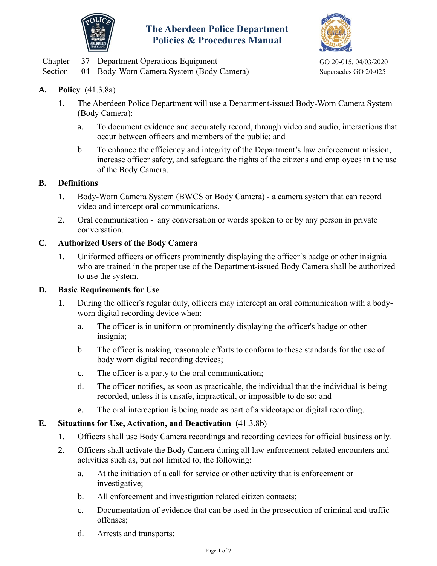



<span id="page-8-0"></span>

|  | Chapter 37 Department Operations Equipment       | GO 20-015, 04/03/2020 |
|--|--------------------------------------------------|-----------------------|
|  | Section 04 Body-Worn Camera System (Body Camera) | Supersedes GO 20-025  |

## **A. Policy** (41.3.8a)

- 1. The Aberdeen Police Department will use a Department-issued Body-Worn Camera System (Body Camera):
	- a. To document evidence and accurately record, through video and audio, interactions that occur between officers and members of the public; and
	- b. To enhance the efficiency and integrity of the Department's law enforcement mission, increase officer safety, and safeguard the rights of the citizens and employees in the use of the Body Camera.

#### **B. Definitions**

- 1. Body-Worn Camera System (BWCS or Body Camera) a camera system that can record video and intercept oral communications.
- 2. Oral communication any conversation or words spoken to or by any person in private conversation.

### **C. Authorized Users of the Body Camera**

1. Uniformed officers or officers prominently displaying the officer's badge or other insignia who are trained in the proper use of the Department-issued Body Camera shall be authorized to use the system.

#### **D. Basic Requirements for Use**

- 1. During the officer's regular duty, officers may intercept an oral communication with a bodyworn digital recording device when:
	- a. The officer is in uniform or prominently displaying the officer's badge or other insignia;
	- b. The officer is making reasonable efforts to conform to these standards for the use of body worn digital recording devices;
	- c. The officer is a party to the oral communication;
	- d. The officer notifies, as soon as practicable, the individual that the individual is being recorded, unless it is unsafe, impractical, or impossible to do so; and
	- e. The oral interception is being made as part of a videotape or digital recording.

### **E. Situations for Use, Activation, and Deactivation** (41.3.8b)

- 1. Officers shall use Body Camera recordings and recording devices for official business only.
- 2. Officers shall activate the Body Camera during all law enforcement-related encounters and activities such as, but not limited to, the following:
	- a. At the initiation of a call for service or other activity that is enforcement or investigative;
	- b. All enforcement and investigation related citizen contacts;
	- c. Documentation of evidence that can be used in the prosecution of criminal and traffic offenses;
	- d. Arrests and transports;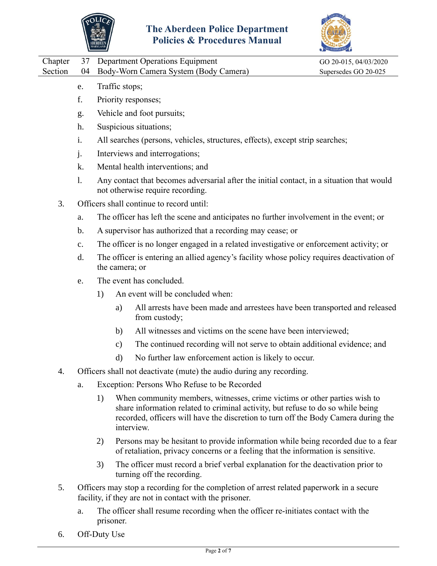



| Chapter |    | 37 Department Operations Equipment       | GO 20-015, 04/03/2020 |
|---------|----|------------------------------------------|-----------------------|
| Section |    | 04 Body-Worn Camera System (Body Camera) | Supersedes GO 20-025  |
|         | e. | Traffic stops;                           |                       |
|         |    | Priority responses;                      |                       |
|         | g. | Vehicle and foot pursuits;               |                       |
|         | h. | Suspicious situations;                   |                       |

- i. All searches (persons, vehicles, structures, effects), except strip searches;
- j. Interviews and interrogations;
- k. Mental health interventions; and
- l. Any contact that becomes adversarial after the initial contact, in a situation that would not otherwise require recording.
- 3. Officers shall continue to record until:
	- a. The officer has left the scene and anticipates no further involvement in the event; or
	- b. A supervisor has authorized that a recording may cease; or
	- c. The officer is no longer engaged in a related investigative or enforcement activity; or
	- d. The officer is entering an allied agency's facility whose policy requires deactivation of the camera; or
	- e. The event has concluded.
		- 1) An event will be concluded when:
			- a) All arrests have been made and arrestees have been transported and released from custody;
			- b) All witnesses and victims on the scene have been interviewed;
			- c) The continued recording will not serve to obtain additional evidence; and
			- d) No further law enforcement action is likely to occur.
- 4. Officers shall not deactivate (mute) the audio during any recording.
	- a. Exception: Persons Who Refuse to be Recorded
		- 1) When community members, witnesses, crime victims or other parties wish to share information related to criminal activity, but refuse to do so while being recorded, officers will have the discretion to turn off the Body Camera during the interview.
		- 2) Persons may be hesitant to provide information while being recorded due to a fear of retaliation, privacy concerns or a feeling that the information is sensitive.
		- 3) The officer must record a brief verbal explanation for the deactivation prior to turning off the recording.
- 5. Officers may stop a recording for the completion of arrest related paperwork in a secure facility, if they are not in contact with the prisoner.
	- a. The officer shall resume recording when the officer re-initiates contact with the prisoner.
- 6. Off-Duty Use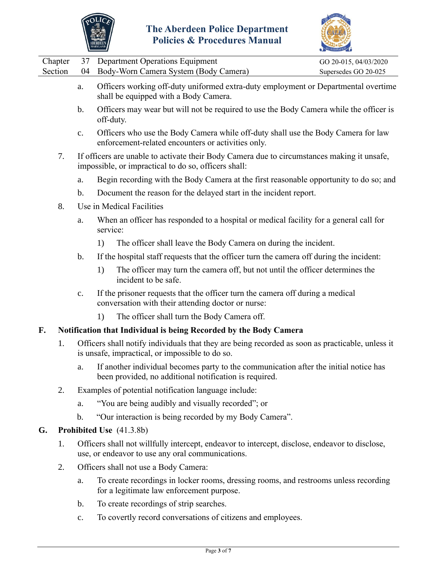



|         |               | ABERDEEN<br>MARYLAND<br>$\alpha$ i roccuures in am                                                                                                  |                       |
|---------|---------------|-----------------------------------------------------------------------------------------------------------------------------------------------------|-----------------------|
| Chapter | 37            | <b>Department Operations Equipment</b>                                                                                                              | GO 20-015, 04/03/2020 |
| Section | 04            | Body-Worn Camera System (Body Camera)                                                                                                               | Supersedes GO 20-025  |
|         | a.            | Officers working off-duty uniformed extra-duty employment or Departmental overtime<br>shall be equipped with a Body Camera.                         |                       |
|         | $\mathbf b$ . | Officers may wear but will not be required to use the Body Camera while the officer is<br>off-duty.                                                 |                       |
|         | c.            | Officers who use the Body Camera while off-duty shall use the Body Camera for law<br>enforcement-related encounters or activities only.             |                       |
| 7.      |               | If officers are unable to activate their Body Camera due to circumstances making it unsafe,<br>impossible, or impractical to do so, officers shall: |                       |
|         | a.            | Begin recording with the Body Camera at the first reasonable opportunity to do so; and                                                              |                       |
|         | $\mathbf b$ . | Document the reason for the delayed start in the incident report.                                                                                   |                       |
| 8.      |               | Use in Medical Facilities                                                                                                                           |                       |
|         | a.            | When an officer has responded to a hospital or medical facility for a general call for<br>service:                                                  |                       |
|         |               | The officer shall leave the Body Camera on during the incident.<br>1)                                                                               |                       |
|         | $\mathbf b$ . | If the hospital staff requests that the officer turn the camera off during the incident:                                                            |                       |
|         |               | The officer may turn the camera off, but not until the officer determines the<br>1)<br>incident to be safe.                                         |                       |
|         | c.            | If the prisoner requests that the officer turn the camera off during a medical<br>conversation with their attending doctor or nurse:                |                       |
|         |               | The officer shall turn the Body Camera off.<br>1)                                                                                                   |                       |
| F.      |               | Notification that Individual is being Recorded by the Body Camera                                                                                   |                       |
| 1.      |               | Officers shall notify individuals that they are being recorded as soon as practicable, unless it<br>is unsafe, impractical, or impossible to do so. |                       |
|         | a.            | If another individual becomes party to the communication after the initial notice has<br>been provided, no additional notification is required.     |                       |
| 2.      |               | Examples of potential notification language include:                                                                                                |                       |
|         | a.            | "You are being audibly and visually recorded"; or                                                                                                   |                       |
|         | $\mathbf b$ . | "Our interaction is being recorded by my Body Camera".                                                                                              |                       |
| G.      |               | Prohibited Use (41.3.8b)                                                                                                                            |                       |
| 1.      |               | Officers shall not willfully intercept, endeavor to intercept, disclose, endeavor to disclose,<br>use, or endeavor to use any oral communications.  |                       |
| 2.      |               | Officers shall not use a Body Camera:                                                                                                               |                       |
|         | a.            | To create recordings in locker rooms, dressing rooms, and restrooms unless recording<br>for a legitimate law enforcement purpose.                   |                       |
|         |               |                                                                                                                                                     |                       |

- b. To create recordings of strip searches.
- c. To covertly record conversations of citizens and employees.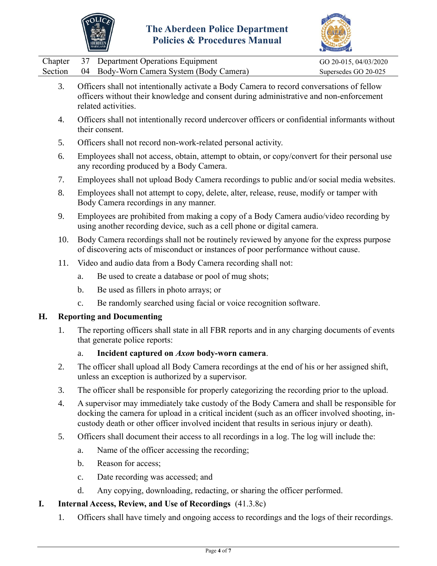



|  | Chapter 37 Department Operations Equipment       | GO 20-015, 04/03/2020 |
|--|--------------------------------------------------|-----------------------|
|  | Section 04 Body-Worn Camera System (Body Camera) | Supersedes GO 20-025  |

- 3. Officers shall not intentionally activate a Body Camera to record conversations of fellow officers without their knowledge and consent during administrative and non-enforcement related activities.
- 4. Officers shall not intentionally record undercover officers or confidential informants without their consent.
- 5. Officers shall not record non-work-related personal activity.
- 6. Employees shall not access, obtain, attempt to obtain, or copy/convert for their personal use any recording produced by a Body Camera.
- 7. Employees shall not upload Body Camera recordings to public and/or social media websites.
- 8. Employees shall not attempt to copy, delete, alter, release, reuse, modify or tamper with Body Camera recordings in any manner.
- 9. Employees are prohibited from making a copy of a Body Camera audio/video recording by using another recording device, such as a cell phone or digital camera.
- 10. Body Camera recordings shall not be routinely reviewed by anyone for the express purpose of discovering acts of misconduct or instances of poor performance without cause.
- 11. Video and audio data from a Body Camera recording shall not:
	- a. Be used to create a database or pool of mug shots;
	- b. Be used as fillers in photo arrays; or
	- c. Be randomly searched using facial or voice recognition software.

### **H. Reporting and Documenting**

1. The reporting officers shall state in all FBR reports and in any charging documents of events that generate police reports:

### a. **Incident captured on** *Axon* **body-worn camera**.

- 2. The officer shall upload all Body Camera recordings at the end of his or her assigned shift, unless an exception is authorized by a supervisor.
- 3. The officer shall be responsible for properly categorizing the recording prior to the upload.
- 4. A supervisor may immediately take custody of the Body Camera and shall be responsible for docking the camera for upload in a critical incident (such as an officer involved shooting, incustody death or other officer involved incident that results in serious injury or death).
- 5. Officers shall document their access to all recordings in a log. The log will include the:
	- a. Name of the officer accessing the recording;
	- b. Reason for access;
	- c. Date recording was accessed; and
	- d. Any copying, downloading, redacting, or sharing the officer performed.

# **I. Internal Access, Review, and Use of Recordings** (41.3.8c)

1. Officers shall have timely and ongoing access to recordings and the logs of their recordings.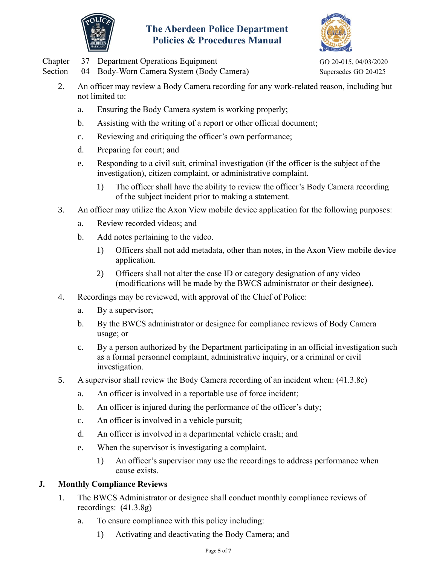



|  | Chapter 37 Department Operations Equipment       | GO 20-015, 04/03/2020 |
|--|--------------------------------------------------|-----------------------|
|  | Section 04 Body-Worn Camera System (Body Camera) | Supersedes GO 20-025  |

- 2. An officer may review a Body Camera recording for any work-related reason, including but not limited to:
	- a. Ensuring the Body Camera system is working properly;
	- b. Assisting with the writing of a report or other official document;
	- c. Reviewing and critiquing the officer's own performance;
	- d. Preparing for court; and
	- e. Responding to a civil suit, criminal investigation (if the officer is the subject of the investigation), citizen complaint, or administrative complaint.
		- 1) The officer shall have the ability to review the officer's Body Camera recording of the subject incident prior to making a statement.
- 3. An officer may utilize the Axon View mobile device application for the following purposes:
	- a. Review recorded videos; and
	- b. Add notes pertaining to the video.
		- 1) Officers shall not add metadata, other than notes, in the Axon View mobile device application.
		- 2) Officers shall not alter the case ID or category designation of any video (modifications will be made by the BWCS administrator or their designee).
- 4. Recordings may be reviewed, with approval of the Chief of Police:
	- a. By a supervisor;
	- b. By the BWCS administrator or designee for compliance reviews of Body Camera usage; or
	- c. By a person authorized by the Department participating in an official investigation such as a formal personnel complaint, administrative inquiry, or a criminal or civil investigation.
- 5. A supervisor shall review the Body Camera recording of an incident when: (41.3.8c)
	- a. An officer is involved in a reportable use of force incident;
	- b. An officer is injured during the performance of the officer's duty;
	- c. An officer is involved in a vehicle pursuit;
	- d. An officer is involved in a departmental vehicle crash; and
	- e. When the supervisor is investigating a complaint.
		- 1) An officer's supervisor may use the recordings to address performance when cause exists.

### **J. Monthly Compliance Reviews**

- 1. The BWCS Administrator or designee shall conduct monthly compliance reviews of recordings: (41.3.8g)
	- a. To ensure compliance with this policy including:
		- 1) Activating and deactivating the Body Camera; and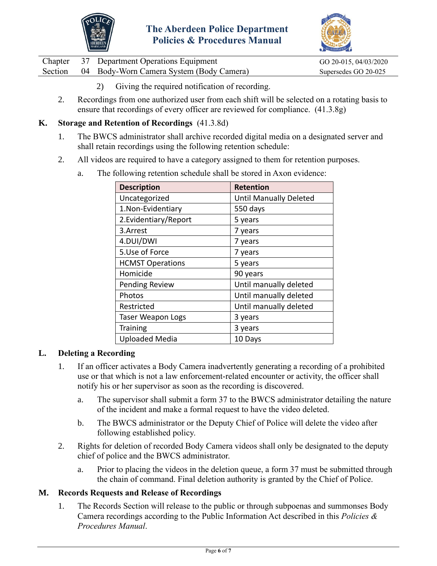



|  | Chapter 37 Department Operations Equipment       | GO 20-015, 04/03/2020 |
|--|--------------------------------------------------|-----------------------|
|  | Section 04 Body-Worn Camera System (Body Camera) | Supersedes GO 20-025  |

- 2) Giving the required notification of recording.
- 2. Recordings from one authorized user from each shift will be selected on a rotating basis to ensure that recordings of every officer are reviewed for compliance. (41.3.8g)

### **K. Storage and Retention of Recordings** (41.3.8d)

- 1. The BWCS administrator shall archive recorded digital media on a designated server and shall retain recordings using the following retention schedule:
- 2. All videos are required to have a category assigned to them for retention purposes.

| <b>Description</b>       | <b>Retention</b>              |
|--------------------------|-------------------------------|
| Uncategorized            | <b>Until Manually Deleted</b> |
| 1. Non-Evidentiary       | 550 days                      |
| 2. Evidentiary/Report    | 5 years                       |
| 3.Arrest                 | 7 years                       |
| 4.DUI/DWI                | 7 years                       |
| 5.Use of Force           | 7 years                       |
| <b>HCMST Operations</b>  | 5 years                       |
| Homicide                 | 90 years                      |
| Pending Review           | Until manually deleted        |
| Photos                   | Until manually deleted        |
| Restricted               | Until manually deleted        |
| <b>Taser Weapon Logs</b> | 3 years                       |
| <b>Training</b>          | 3 years                       |
| <b>Uploaded Media</b>    | 10 Days                       |

a. The following retention schedule shall be stored in Axon evidence:

### **L. Deleting a Recording**

- 1. If an officer activates a Body Camera inadvertently generating a recording of a prohibited use or that which is not a law enforcement-related encounter or activity, the officer shall notify his or her supervisor as soon as the recording is discovered.
	- a. The supervisor shall submit a form 37 to the BWCS administrator detailing the nature of the incident and make a formal request to have the video deleted.
	- b. The BWCS administrator or the Deputy Chief of Police will delete the video after following established policy.
- 2. Rights for deletion of recorded Body Camera videos shall only be designated to the deputy chief of police and the BWCS administrator.
	- a. Prior to placing the videos in the deletion queue, a form 37 must be submitted through the chain of command. Final deletion authority is granted by the Chief of Police.

### **M. Records Requests and Release of Recordings**

1. The Records Section will release to the public or through subpoenas and summonses Body Camera recordings according to the Public Information Act described in this *Policies & Procedures Manual*.